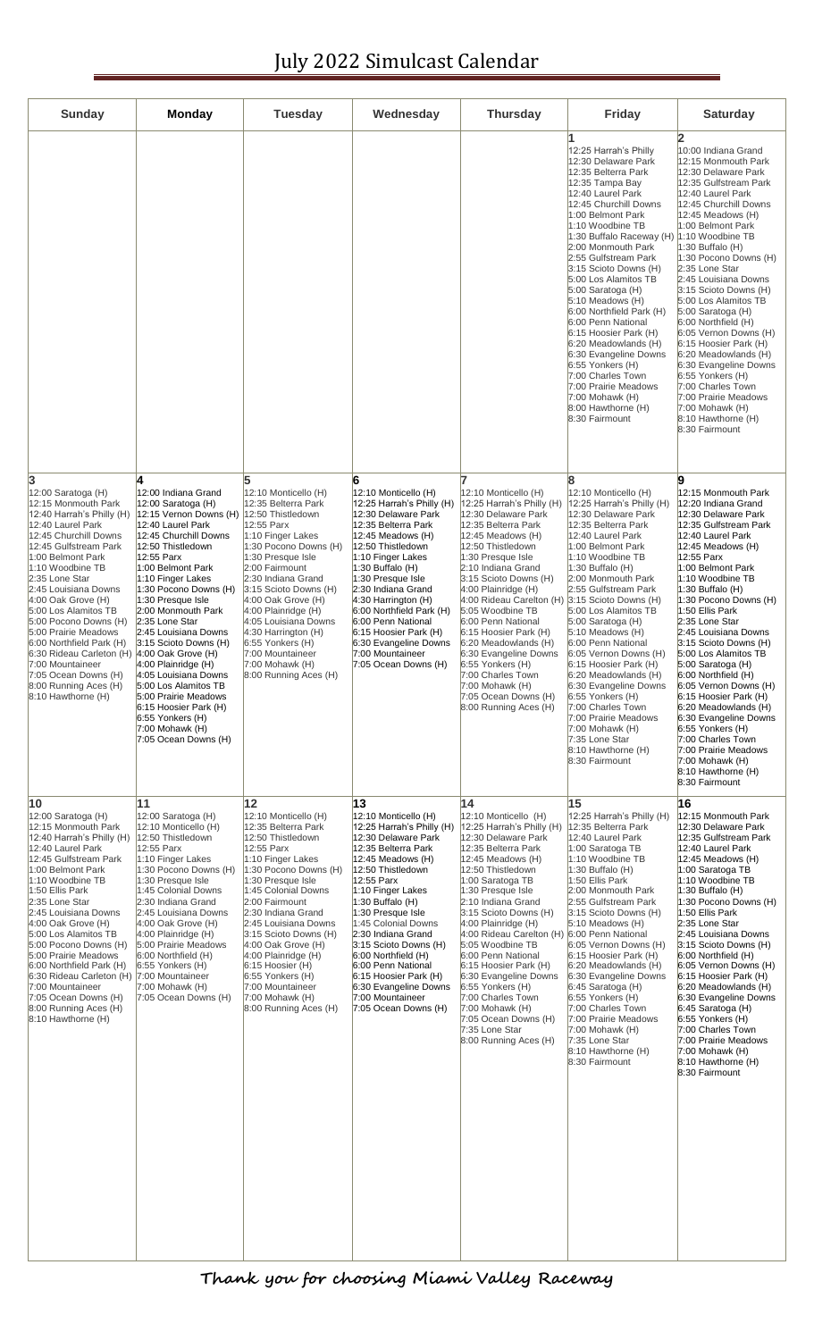## July 2022 Simulcast Calendar

| <b>Sunday</b>                                                                                                                                                                                                                                                                                                                                                                                                                                                                                                     | <b>Monday</b>                                                                                                                                                                                                                                                                                                                                                                                                                                                                                                                                                 | <b>Tuesday</b>                                                                                                                                                                                                                                                                                                                                                                                                                      | Wednesday                                                                                                                                                                                                                                                                                                                                                                                                                                    | <b>Thursday</b>                                                                                                                                                                                                                                                                                                                                                                                                                                                                                                                          | Friday                                                                                                                                                                                                                                                                                                                                                                                                                                                                                                                                                                                                                       | <b>Saturday</b>                                                                                                                                                                                                                                                                                                                                                                                                                                                                                                                                                                                                                            |
|-------------------------------------------------------------------------------------------------------------------------------------------------------------------------------------------------------------------------------------------------------------------------------------------------------------------------------------------------------------------------------------------------------------------------------------------------------------------------------------------------------------------|---------------------------------------------------------------------------------------------------------------------------------------------------------------------------------------------------------------------------------------------------------------------------------------------------------------------------------------------------------------------------------------------------------------------------------------------------------------------------------------------------------------------------------------------------------------|-------------------------------------------------------------------------------------------------------------------------------------------------------------------------------------------------------------------------------------------------------------------------------------------------------------------------------------------------------------------------------------------------------------------------------------|----------------------------------------------------------------------------------------------------------------------------------------------------------------------------------------------------------------------------------------------------------------------------------------------------------------------------------------------------------------------------------------------------------------------------------------------|------------------------------------------------------------------------------------------------------------------------------------------------------------------------------------------------------------------------------------------------------------------------------------------------------------------------------------------------------------------------------------------------------------------------------------------------------------------------------------------------------------------------------------------|------------------------------------------------------------------------------------------------------------------------------------------------------------------------------------------------------------------------------------------------------------------------------------------------------------------------------------------------------------------------------------------------------------------------------------------------------------------------------------------------------------------------------------------------------------------------------------------------------------------------------|--------------------------------------------------------------------------------------------------------------------------------------------------------------------------------------------------------------------------------------------------------------------------------------------------------------------------------------------------------------------------------------------------------------------------------------------------------------------------------------------------------------------------------------------------------------------------------------------------------------------------------------------|
|                                                                                                                                                                                                                                                                                                                                                                                                                                                                                                                   |                                                                                                                                                                                                                                                                                                                                                                                                                                                                                                                                                               |                                                                                                                                                                                                                                                                                                                                                                                                                                     |                                                                                                                                                                                                                                                                                                                                                                                                                                              |                                                                                                                                                                                                                                                                                                                                                                                                                                                                                                                                          | 12:25 Harrah's Philly<br>12:30 Delaware Park<br>12:35 Belterra Park<br>12:35 Tampa Bay<br>12:40 Laurel Park<br>12:45 Churchill Downs<br>1:00 Belmont Park<br>1:10 Woodbine TB<br>1:30 Buffalo Raceway (H)<br>2:00 Monmouth Park<br>2:55 Gulfstream Park<br>3:15 Scioto Downs (H)<br>5:00 Los Alamitos TB<br>$5:00$ Saratoga (H)<br>$5:10$ Meadows $(H)$<br>6:00 Northfield Park (H)<br>6:00 Penn National<br>6:15 Hoosier Park (H)<br>$6:20$ Meadowlands $(H)$<br>6:30 Evangeline Downs<br>6:55 Yonkers (H)<br>7:00 Charles Town<br>7:00 Prairie Meadows<br>$7:00$ Mohawk $(H)$<br>$ 8:00$ Hawthorne $(H)$<br>8:30 Fairmount | 2<br>10:00 Indiana Grand<br>12:15 Monmouth Park<br>12:30 Delaware Park<br>12:35 Gulfstream Park<br>12:40 Laurel Park<br>12:45 Churchill Downs<br>12:45 Meadows (H)<br>1:00 Belmont Park<br>1:10 Woodbine TB<br>$1:30$ Buffalo (H)<br>1:30 Pocono Downs (H)<br>2:35 Lone Star<br>2:45 Louisiana Downs<br>3:15 Scioto Downs (H)<br>5:00 Los Alamitos TB<br>5:00 Saratoga (H)<br>6:00 Northfield (H)<br>6:05 Vernon Downs (H)<br>6:15 Hoosier Park (H)<br>$6:20$ Meadowlands $(H)$<br>6:30 Evangeline Downs<br>6:55 Yonkers (H)<br>7:00 Charles Town<br>7:00 Prairie Meadows<br>7:00 Mohawk (H)<br>8:10 Hawthorne (H)<br>8:30 Fairmount       |
| 3<br>$12:00$ Saratoga (H)<br>12:15 Monmouth Park<br>12:40 Harrah's Philly (H)<br>12:40 Laurel Park<br>12:45 Churchill Downs<br>12:45 Gulfstream Park<br>1:00 Belmont Park<br>1:10 Woodbine TB<br>2:35 Lone Star<br>2:45 Louisiana Downs<br>$4:00$ Oak Grove (H)<br>5:00 Los Alamitos TB<br>5:00 Pocono Downs (H)<br>5:00 Prairie Meadows<br>6:00 Northfield Park (H)<br>6:30 Rideau Carleton (H)<br>7:00 Mountaineer<br>7:05 Ocean Downs (H)<br>8:00 Running Aces (H)<br>8:10 Hawthorne (H)                       | 4<br>12:00 Indiana Grand<br>12:00 Saratoga (H)<br>12:15 Vernon Downs (H)<br>12:40 Laurel Park<br>12:45 Churchill Downs<br>12:50 Thistledown<br>12:55 Parx<br>1:00 Belmont Park<br>1:10 Finger Lakes<br>1:30 Pocono Downs (H)<br>1:30 Presque Isle<br>2:00 Monmouth Park<br>2:35 Lone Star<br>2:45 Louisiana Downs<br>3:15 Scioto Downs (H)<br>$4:00$ Oak Grove (H)<br>4:00 Plainridge (H)<br>4:05 Louisiana Downs<br>5:00 Los Alamitos TB<br>5:00 Prairie Meadows<br>6:15 Hoosier Park (H)<br>6:55 Yonkers (H)<br>$7:00$ Mohawk $(H)$<br>7:05 Ocean Downs (H) | 5<br>12:10 Monticello (H)<br>12:35 Belterra Park<br>12:50 Thistledown<br>12:55 Parx<br>1:10 Finger Lakes<br>1:30 Pocono Downs (H)<br>1:30 Presque Isle<br>2:00 Fairmount<br>2:30 Indiana Grand<br>3:15 Scioto Downs (H)<br>$ 4:00$ Oak Grove $(H)$<br>4:00 Plainridge (H)<br>4:05 Louisiana Downs<br>4:30 Harrington (H)<br>6:55 Yonkers (H)<br>7:00 Mountaineer<br>7:00 Mohawk (H)<br>8:00 Running Aces (H)                        | 6<br>12:10 Monticello (H)<br>12:25 Harrah's Philly (H)<br>12:30 Delaware Park<br>12:35 Belterra Park<br>12:45 Meadows (H)<br>12:50 Thistledown<br>1:10 Finger Lakes<br>1:30 Buffalo (H)<br>1:30 Presque Isle<br>2:30 Indiana Grand<br>$4:30$ Harrington (H)<br>6:00 Northfield Park (H)<br>6:00 Penn National<br>6:15 Hoosier Park (H)<br>6:30 Evangeline Downs<br>7:00 Mountaineer<br>7:05 Ocean Downs (H)                                  | 12:10 Monticello (H)<br>(12:25 Harrah's Philly (H<br>12:30 Delaware Park<br>12:35 Belterra Park<br>$12:45$ Meadows $(H)$<br>12:50 Thistledown<br>1:30 Presque Isle<br>2:10 Indiana Grand<br>3:15 Scioto Downs (H)<br>$4:00$ Plainridge (H)<br>4:00 Rideau Carelton (H) 3:15 Scioto Downs (H)<br>5:05 Woodbine TB<br>6:00 Penn National<br>6:15 Hoosier Park (H)<br>6:20 Meadowlands (H)<br>6:30 Evangeline Downs<br>6:55 Yonkers (H)<br>7:00 Charles Town<br>7:00 Mohawk (H)<br>7:05 Ocean Downs (H)<br>8:00 Running Aces (H)            | 8<br>12:10 Monticello (H)<br>12:25 Harrah's Philly (H)<br>12:30 Delaware Park<br>12:35 Belterra Park<br>12:40 Laurel Park<br>1:00 Belmont Park<br>1:10 Woodbine TB<br>$ 1:30$ Buffalo (H)<br>2:00 Monmouth Park<br>2:55 Gulfstream Park<br>5:00 Los Alamitos TB<br>$5:00$ Saratoga (H)<br>$5:10$ Meadows $(H)$<br>6:00 Penn National<br>6:05 Vernon Downs (H)<br>6:15 Hoosier Park (H)<br>$6:20$ Meadowlands $(H)$<br>6:30 Evangeline Downs<br>6:55 Yonkers (H)<br>7:00 Charles Town<br>7:00 Prairie Meadows<br>$7:00$ Mohawk $(H)$<br>7:35 Lone Star<br>$8:10$ Hawthorne $(H)$<br>8:30 Fairmount                            | 9<br>12:15 Monmouth Park<br>12:20 Indiana Grand<br>12:30 Delaware Park<br>12:35 Gulfstream Park<br>12:40 Laurel Park<br>$12:45$ Meadows (H)<br>12:55 Parx<br>1:00 Belmont Park<br>1:10 Woodbine TB<br>$1:30$ Buffalo (H)<br>1:30 Pocono Downs (H)<br>1:50 Ellis Park<br>2:35 Lone Star<br>2:45 Louisiana Downs<br>3:15 Scioto Downs (H)<br>5:00 Los Alamitos TB<br>5:00 Saratoga (H)<br>6:00 Northfield (H)<br>6:05 Vernon Downs (H)<br>6:15 Hoosier Park (H)<br>6:20 Meadowlands (H)<br>6:30 Evangeline Downs<br>6:55 Yonkers (H)<br>7:00 Charles Town<br>7:00 Prairie Meadows<br>7:00 Mohawk (H)<br>8:10 Hawthorne (H)<br>8:30 Fairmount |
| $ 10\rangle$<br>12:00 Saratoga (H)<br>12:15 Monmouth Park<br>12:40 Harrah's Philly (H)<br>12:40 Laurel Park<br>12:45 Gulfstream Park<br>1:00 Belmont Park<br>1:10 Woodbine TB<br>1:50 Ellis Park<br>2:35 Lone Star<br>2:45 Louisiana Downs<br>$4:00$ Oak Grove (H)<br>5:00 Los Alamitos TB<br>5:00 Pocono Downs (H)<br>5:00 Prairie Meadows<br>6:00 Northfield Park (H)<br>6:30 Rideau Carleton (H) 7:00 Mountaineer<br>7:00 Mountaineer<br>7:05 Ocean Downs (H)<br>8:00 Running Aces (H)<br>$8:10$ Hawthorne (H) | 11<br>12:00 Saratoga (H)<br>12:10 Monticello (H)<br>12:50 Thistledown<br>12:55 Parx<br>1:10 Finger Lakes<br>1:30 Pocono Downs (H)<br>1:30 Presque Isle<br>1:45 Colonial Downs<br>2:30 Indiana Grand<br>2:45 Louisiana Downs<br>4:00 Oak Grove (H)<br>4:00 Plainridge (H)<br>5:00 Prairie Meadows<br>6:00 Northfield (H)<br>6:55 Yonkers (H)<br>7:00 Mohawk (H)<br>7:05 Ocean Downs (H)                                                                                                                                                                        | 12<br>12:10 Monticello (H)<br>12:35 Belterra Park<br>12:50 Thistledown<br>12:55 Parx<br>1:10 Finger Lakes<br>1:30 Pocono Downs (H)<br>1:30 Presque Isle<br>1:45 Colonial Downs<br>2:00 Fairmount<br>2:30 Indiana Grand<br>2:45 Louisiana Downs<br>3:15 Scioto Downs (H)<br>$ 4:00$ Oak Grove $(H)$<br>4:00 Plainridge (H)<br>$6:15$ Hoosier (H)<br>6:55 Yonkers (H)<br>7:00 Mountaineer<br>7:00 Mohawk (H)<br>8:00 Running Aces (H) | 13<br>12:10 Monticello (H)<br>12:25 Harrah's Philly (H)<br>12:30 Delaware Park<br>12:35 Belterra Park<br>12:45 Meadows (H)<br>12:50 Thistledown<br>12:55 Parx<br>1:10 Finger Lakes<br>1:30 Buffalo (H)<br>1:30 Presque Isle<br>1:45 Colonial Downs<br>2:30 Indiana Grand<br>3:15 Scioto Downs (H)<br>6:00 Northfield (H)<br>6:00 Penn National<br>6:15 Hoosier Park (H)<br>6:30 Evangeline Downs<br>7:00 Mountaineer<br>7:05 Ocean Downs (H) | 14<br>12:10 Monticello (H)<br>12:25 Harrah's Philly (H)<br>12:30 Delaware Park<br>12:35 Belterra Park<br>12:45 Meadows (H)<br>12:50 Thistledown<br>1:00 Saratoga TB<br>1:30 Presque Isle<br>2:10 Indiana Grand<br>3:15 Scioto Downs (H)<br>4:00 Plainridge (H)<br>4:00 Rideau Carelton (H) 6:00 Penn National<br>5:05 Woodbine TB<br>6:00 Penn National<br>6:15 Hoosier Park (H)<br>6:30 Evangeline Downs<br>6:55 Yonkers (H)<br>7:00 Charles Town<br>7:00 Mohawk (H)<br>7:05 Ocean Downs (H)<br>7:35 Lone Star<br>8:00 Running Aces (H) | 15<br>12:25 Harrah's Philly (H)<br>12:35 Belterra Park<br>12:40 Laurel Park<br>1:00 Saratoga TB<br>1:10 Woodbine TB<br>$ 1:30$ Buffalo (H)<br>1:50 Ellis Park<br>2:00 Monmouth Park<br>2:55 Gulfstream Park<br>3:15 Scioto Downs (H)<br>$5:10$ Meadows $(H)$<br>6:05 Vernon Downs (H)<br>6:15 Hoosier Park (H)<br>$6:20$ Meadowlands $(H)$<br>6:30 Evangeline Downs<br>$6:45$ Saratoga (H)<br>6:55 Yonkers (H)<br>7:00 Charles Town<br>7:00 Prairie Meadows<br>$7:00$ Mohawk $(H)$<br>7:35 Lone Star<br>$8:10$ Hawthorne $(H)$<br>8:30 Fairmount                                                                             | 16<br>12:15 Monmouth Park<br>12:30 Delaware Park<br>12:35 Gulfstream Park<br>12:40 Laurel Park<br>$12:45$ Meadows $(H)$<br>1:00 Saratoga TB<br>1:10 Woodbine TB<br>1:30 Buffalo (H)<br>1:30 Pocono Downs (H)<br>1:50 Ellis Park<br>2:35 Lone Star<br>2:45 Louisiana Downs<br>3:15 Scioto Downs (H)<br>6:00 Northfield (H)<br>6:05 Vernon Downs (H)<br>6:15 Hoosier Park (H)<br>6:20 Meadowlands (H)<br>6:30 Evangeline Downs<br>$6:45$ Saratoga (H)<br>6:55 Yonkers (H)<br>7:00 Charles Town<br>7:00 Prairie Meadows<br>7:00 Mohawk (H)<br>8:10 Hawthorne (H)<br>8:30 Fairmount                                                            |